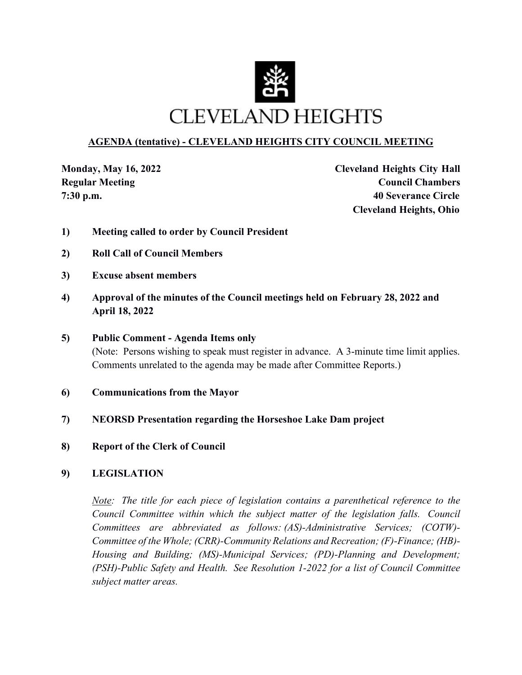

# **AGENDA (tentative) - CLEVELAND HEIGHTS CITY COUNCIL MEETING**

**Monday, May 16, 2022 Cleveland Heights City Hall Regular Meeting Council Chambers Council Chambers 7:30 p.m. 40 Severance Circle Cleveland Heights, Ohio**

- **1) Meeting called to order by Council President**
- **2) Roll Call of Council Members**
- **3) Excuse absent members**
- **4) Approval of the minutes of the Council meetings held on February 28, 2022 and April 18, 2022**
- **5) Public Comment Agenda Items only**  (Note: Persons wishing to speak must register in advance. A 3-minute time limit applies. Comments unrelated to the agenda may be made after Committee Reports.)
- **6) Communications from the Mayor**
- **7) NEORSD Presentation regarding the Horseshoe Lake Dam project**
- **8) Report of the Clerk of Council**
- **9) LEGISLATION**

*Note: The title for each piece of legislation contains a parenthetical reference to the Council Committee within which the subject matter of the legislation falls. Council Committees are abbreviated as follows: (AS)-Administrative Services; (COTW)- Committee of the Whole; (CRR)-Community Relations and Recreation; (F)-Finance; (HB)- Housing and Building; (MS)-Municipal Services; (PD)-Planning and Development; (PSH)-Public Safety and Health. See Resolution 1-2022 for a list of Council Committee subject matter areas.*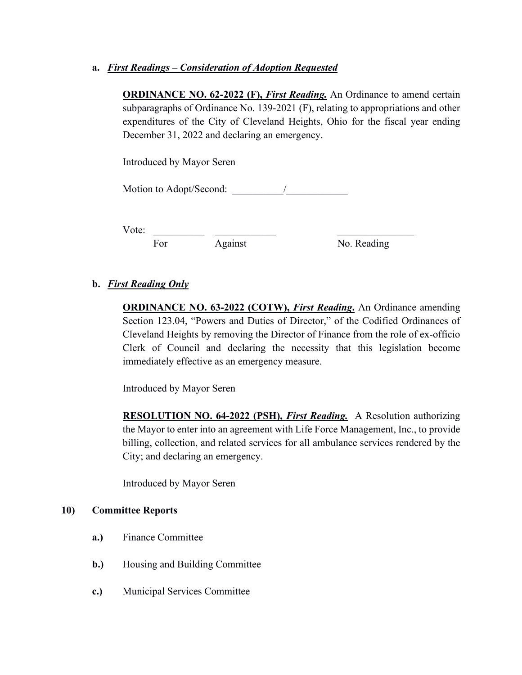# **a.** *First Readings – Consideration of Adoption Requested*

**ORDINANCE NO. 62-2022 (F),** *First Reading*. An Ordinance to amend certain subparagraphs of Ordinance No. 139-2021 (F), relating to appropriations and other expenditures of the City of Cleveland Heights, Ohio for the fiscal year ending December 31, 2022 and declaring an emergency.

Introduced by Mayor Seren

Motion to Adopt/Second:  $\sqrt{2}$ 

Vote:

For Against No. Reading

# **b.** *First Reading Only*

**ORDINANCE NO. 63-2022 (COTW),** *First Reading***.** An Ordinance amending Section 123.04, "Powers and Duties of Director," of the Codified Ordinances of Cleveland Heights by removing the Director of Finance from the role of ex-officio Clerk of Council and declaring the necessity that this legislation become immediately effective as an emergency measure.

Introduced by Mayor Seren

**RESOLUTION NO. 64-2022 (PSH),** *First Reading.* A Resolution authorizing the Mayor to enter into an agreement with Life Force Management, Inc., to provide billing, collection, and related services for all ambulance services rendered by the City; and declaring an emergency.

Introduced by Mayor Seren

#### **10) Committee Reports**

- **a.)** Finance Committee
- **b.**) Housing and Building Committee
- **c.)** Municipal Services Committee